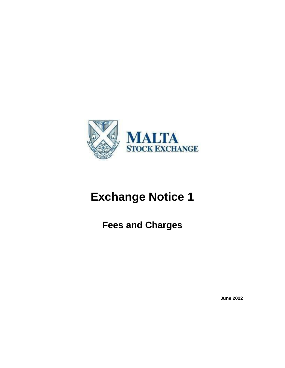

# **Exchange Notice 1**

**Fees and Charges**

**June 2022**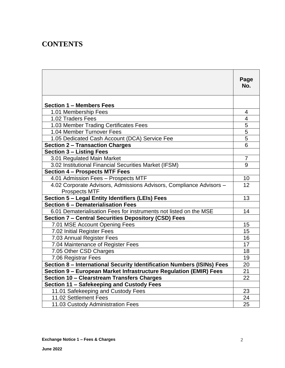## **CONTENTS**

|                                                                        | Page<br>No.    |
|------------------------------------------------------------------------|----------------|
|                                                                        |                |
| <b>Section 1 – Members Fees</b>                                        |                |
| 1.01 Membership Fees                                                   | 4              |
| 1.02 Traders Fees                                                      | 4              |
| 1.03 Member Trading Certificates Fees                                  | $\overline{5}$ |
| 1.04 Member Turnover Fees                                              | $\frac{5}{5}$  |
| 1.05 Dedicated Cash Account (DCA) Service Fee                          |                |
| <b>Section 2 - Transaction Charges</b>                                 | 6              |
| <b>Section 3 - Listing Fees</b>                                        |                |
| 3.01 Regulated Main Market                                             | $\overline{7}$ |
| 3.02 Institutional Financial Securities Market (IFSM)                  | 9              |
| <b>Section 4 - Prospects MTF Fees</b>                                  |                |
| 4.01 Admission Fees - Prospects MTF                                    | 10             |
| 4.02 Corporate Advisors, Admissions Advisors, Compliance Advisors -    | 12             |
| <b>Prospects MTF</b>                                                   |                |
| Section 5 - Legal Entity Identifiers (LEIs) Fees                       | 13             |
| Section 6 - Dematerialisation Fees                                     |                |
| 6.01 Dematerialisation Fees for instruments not listed on the MSE      | 14             |
| <b>Section 7 - Central Securities Depository (CSD) Fees</b>            |                |
| 7.01 MSE Account Opening Fees                                          | 15             |
| 7.02 Initial Register Fees                                             | 15             |
| 7.03 Annual Register Fees                                              | 16             |
| 7.04 Maintenance of Register Fees                                      | 17             |
| 7.05 Other CSD Charges                                                 | 18             |
| 7.06 Registrar Fees                                                    | 19             |
| Section 8 - International Security Identification Numbers (ISINs) Fees | 20             |
| Section 9 - European Market Infrastructure Regulation (EMIR) Fees      | 21             |
| Section 10 - Clearstream Transfers Charges                             | 22             |
| Section 11 - Safekeeping and Custody Fees                              |                |
| 11.01 Safekeeping and Custody Fees                                     | 23             |
| 11.02 Settlement Fees                                                  | 24             |
| 11.03 Custody Administration Fees                                      | 25             |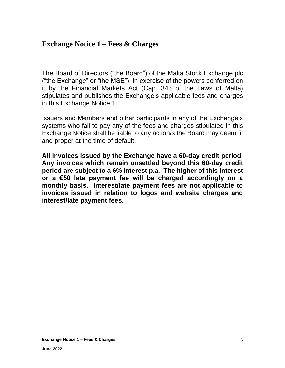## **Exchange Notice 1 – Fees & Charges**

The Board of Directors ("the Board") of the Malta Stock Exchange plc ("the Exchange" or "the MSE"), in exercise of the powers conferred on it by the Financial Markets Act (Cap. 345 of the Laws of Malta) stipulates and publishes the Exchange's applicable fees and charges in this Exchange Notice 1.

Issuers and Members and other participants in any of the Exchange's systems who fail to pay any of the fees and charges stipulated in this Exchange Notice shall be liable to any action/s the Board may deem fit and proper at the time of default.

**All invoices issued by the Exchange have a 60-day credit period. Any invoices which remain unsettled beyond this 60-day credit period are subject to a 6% interest p.a. The higher of this interest or a €50 late payment fee will be charged accordingly on a monthly basis. Interest/late payment fees are not applicable to invoices issued in relation to logos and website charges and interest/late payment fees.**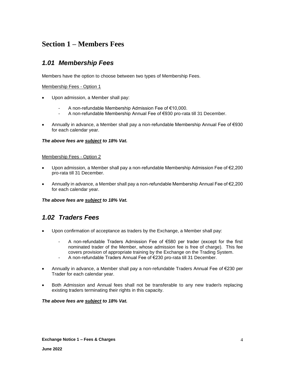## **Section 1 – Members Fees**

### *1.01 Membership Fees*

Members have the option to choose between two types of Membership Fees.

#### Membership Fees - Option 1

- Upon admission, a Member shall pay:
	- A non-refundable Membership Admission Fee of €10,000.
	- A non-refundable Membership Annual Fee of €930 pro-rata till 31 December.
- Annually in advance, a Member shall pay a non-refundable Membership Annual Fee of €930 for each calendar year.

#### *The above fees are subject to 18% Vat.*

#### Membership Fees - Option 2

- Upon admission, a Member shall pay a non-refundable Membership Admission Fee of €2,200 pro-rata till 31 December.
- Annually in advance, a Member shall pay a non-refundable Membership Annual Fee of €2,200 for each calendar year.

#### *The above fees are subject to 18% Vat.*

### *1.02 Traders Fees*

- Upon confirmation of acceptance as traders by the Exchange, a Member shall pay:
	- A non-refundable Traders Admission Fee of €580 per trader (except for the first nominated trader of the Member, whose admission fee is free of charge). This fee covers provision of appropriate training by the Exchange on the Trading System.
	- A non-refundable Traders Annual Fee of €230 pro-rata till 31 December.
- Annually in advance, a Member shall pay a non-refundable Traders Annual Fee of €230 per Trader for each calendar year.
- Both Admission and Annual fees shall not be transferable to any new trader/s replacing existing traders terminating their rights in this capacity.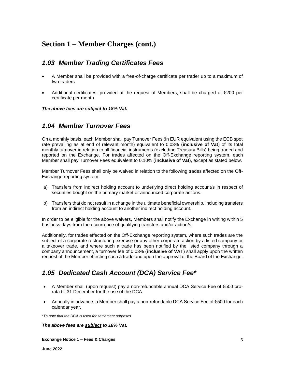## **Section 1 – Member Charges (cont.)**

### *1.03 Member Trading Certificates Fees*

- A Member shall be provided with a free-of-charge certificate per trader up to a maximum of two traders.
- Additional certificates, provided at the request of Members, shall be charged at  $\epsilon$ 200 per certificate per month.

*The above fees are subject to 18% Vat.*

### *1.04 Member Turnover Fees*

On a monthly basis, each Member shall pay Turnover Fees (in EUR equivalent using the ECB spot rate prevailing as at end of relevant month) equivalent to 0.03% (**inclusive of Vat**) of its total monthly turnover in relation to all financial instruments (excluding Treasury Bills) being traded and reported on the Exchange. For trades affected on the Off-Exchange reporting system, each Member shall pay Turnover Fees equivalent to 0.10% (**inclusive of Vat**), except as stated below.

Member Turnover Fees shall only be waived in relation to the following trades affected on the Off-Exchange reporting system:

- a) Transfers from indirect holding account to underlying direct holding account/s in respect of securities bought on the primary market or announced corporate actions.
- b) Transfers that do not result in a change in the ultimate beneficial ownership, including transfers from an indirect holding account to another indirect holding account.

In order to be eligible for the above waivers, Members shall notify the Exchange in writing within 5 business days from the occurrence of qualifying transfers and/or action/s.

Additionally, for trades effected on the Off-Exchange reporting system, where such trades are the subject of a corporate restructuring exercise or any other corporate action by a listed company or a takeover trade, and where such a trade has been notified by the listed company through a company announcement, a turnover fee of 0.03% (**inclusive of VAT**) shall apply upon the written request of the Member effecting such a trade and upon the approval of the Board of the Exchange.

### *1.05 Dedicated Cash Account (DCA) Service Fee\**

- A Member shall (upon request) pay a non-refundable annual DCA Service Fee of €500 prorata till 31 December for the use of the DCA.
- Annually in advance, a Member shall pay a non-refundable DCA Service Fee of €500 for each calendar year.

*\*To note that the DCA is used for settlement purposes.*

*The above fees are subject to 18% Vat.*

**Exchange Notice 1 – Fees & Charges**

**June 2022**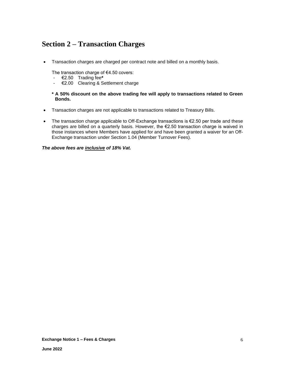## **Section 2 – Transaction Charges**

• Transaction charges are charged per contract note and billed on a monthly basis.

The transaction charge of €4.50 covers:

- €2.50 Trading fee**\***
- €2.00 Clearing & Settlement charge

#### **\* A 50% discount on the above trading fee will apply to transactions related to Green Bonds.**

- Transaction charges are not applicable to transactions related to Treasury Bills.
- The transaction charge applicable to Off-Exchange transactions is €2.50 per trade and these charges are billed on a quarterly basis. However, the  $E$ 2.50 transaction charge is waived in those instances where Members have applied for and have been granted a waiver for an Off-Exchange transaction under Section 1.04 (Member Turnover Fees).

#### *The above fees are inclusive of 18% Vat.*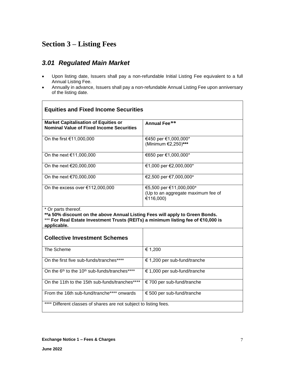## **Section 3 – Listing Fees**

### *3.01 Regulated Main Market*

- Upon listing date, Issuers shall pay a non-refundable Initial Listing Fee equivalent to a full Annual Listing Fee.
- Annually in advance, Issuers shall pay a non-refundable Annual Listing Fee upon anniversary of the listing date.

| <b>Equities and Fixed Income Securities</b>                                                                                                                                                             |                                                                            |  |  |
|---------------------------------------------------------------------------------------------------------------------------------------------------------------------------------------------------------|----------------------------------------------------------------------------|--|--|
| <b>Market Capitalisation of Equities or</b><br><b>Nominal Value of Fixed Income Securities</b>                                                                                                          | Annual Fee**                                                               |  |  |
| On the first €11,000,000                                                                                                                                                                                | €450 per €1,000,000*<br>(Minimum €2,250)***                                |  |  |
| On the next €11,000,000                                                                                                                                                                                 | €650 per €1,000,000*                                                       |  |  |
| On the next €20,000,000                                                                                                                                                                                 | €1,000 per €2,000,000*                                                     |  |  |
| On the next €70,000,000                                                                                                                                                                                 | €2,500 per €7,000,000*                                                     |  |  |
| On the excess over $€112,000,000$                                                                                                                                                                       | €5,500 per €11,000,000*<br>(Up to an aggregate maximum fee of<br>€116,000) |  |  |
| * Or parts thereof.<br>**a 50% discount on the above Annual Listing Fees will apply to Green Bonds.<br>*** For Real Estate Investment Trusts (REITs) a minimum listing fee of €10,000 is<br>applicable. |                                                                            |  |  |
| <b>Collective Investment Schemes</b>                                                                                                                                                                    |                                                                            |  |  |
| The Scheme                                                                                                                                                                                              | € 1,200                                                                    |  |  |
| On the first five sub-funds/tranches****                                                                                                                                                                | € 1,200 per sub-fund/tranche                                               |  |  |
| On the 6 <sup>th</sup> to the 10 <sup>th</sup> sub-funds/tranches****                                                                                                                                   | € 1,000 per sub-fund/tranche                                               |  |  |
| On the 11th to the 15th sub-funds/tranches****                                                                                                                                                          | € 700 per sub-fund/tranche                                                 |  |  |
| From the 16th sub-fund/tranche**** onwards                                                                                                                                                              | € 500 per sub-fund/tranche                                                 |  |  |
| Different classes of shares are not subject to listing fees.                                                                                                                                            |                                                                            |  |  |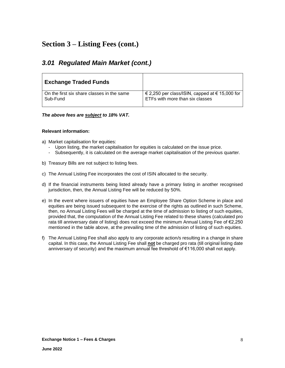## **Section 3 – Listing Fees (cont.)**

### *3.01 Regulated Main Market (cont.)*

| <b>Exchange Traded Funds</b>               |                                                |
|--------------------------------------------|------------------------------------------------|
| On the first six share classes in the same | € 2,250 per class/ISIN, capped at € 15,000 for |
| Sub-Fund                                   | ETFs with more than six classes                |

#### *The above fees are subject to 18% VAT.*

#### **Relevant information:**

- a) Market capitalisation for equities:
	- Upon listing, the market capitalisation for equities is calculated on the issue price.
	- Subsequently, it is calculated on the average market capitalisation of the previous quarter.
- b) Treasury Bills are not subject to listing fees.
- c) The Annual Listing Fee incorporates the cost of ISIN allocated to the security.
- d) If the financial instruments being listed already have a primary listing in another recognised jurisdiction, then, the Annual Listing Fee will be reduced by 50%.
- e) In the event where issuers of equities have an Employee Share Option Scheme in place and equities are being issued subsequent to the exercise of the rights as outlined in such Scheme, then, no Annual Listing Fees will be charged at the time of admission to listing of such equities, provided that, the computation of the Annual Listing Fee related to these shares (calculated pro rata till anniversary date of listing) does not exceed the minimum Annual Listing Fee of €2,250 mentioned in the table above, at the prevailing time of the admission of listing of such equities.
- f) The Annual Listing Fee shall also apply to any corporate action/s resulting in a change in share capital. In this case, the Annual Listing Fee shall **not** be charged pro rata (till original listing date anniversary of security) and the maximum annual fee threshold of €116,000 shall not apply.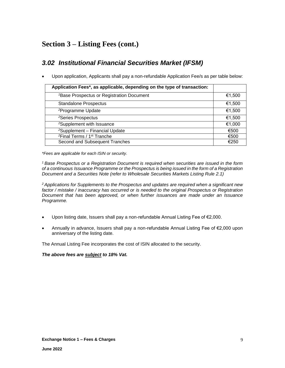## **Section 3 – Listing Fees (cont.)**

### *3.02 Institutional Financial Securities Market (IFSM)*

• Upon application, Applicants shall pay a non-refundable Application Fee/s as per table below:

| Application Fees*, as applicable, depending on the type of transaction: |        |
|-------------------------------------------------------------------------|--------|
| <sup>1</sup> Base Prospectus or Registration Document                   | €1,500 |
| <b>Standalone Prospectus</b>                                            | €1,500 |
| <sup>2</sup> Programme Update                                           | €1,500 |
| <sup>2</sup> Series Prospectus                                          | €1,500 |
| <sup>2</sup> Supplement with Issuance                                   | €1,000 |
| <sup>2</sup> Supplement - Financial Update                              | €500   |
| <sup>2</sup> Final Terms / 1 <sup>st</sup> Tranche                      | €500   |
| Second and Subsequent Tranches                                          | €250   |

*\*Fees are applicable for each ISIN or security.*

*<sup>1</sup>Base Prospectus or a Registration Document is required when securities are issued in the form of a continuous Issuance Programme or the Prospectus is being issued in the form of a Registration Document and a Securities Note (refer to Wholesale Securities Markets Listing Rule 2.1)*

*<sup>2</sup>Applications for Supplements to the Prospectus and updates are required when a significant new factor / mistake / inaccuracy has occurred or is needed to the original Prospectus or Registration Document that has been approved, or when further issuances are made under an Issuance Programme.*

- Upon listing date, Issuers shall pay a non-refundable Annual Listing Fee of €2,000.
- Annually in advance, Issuers shall pay a non-refundable Annual Listing Fee of €2,000 upon anniversary of the listing date.

The Annual Listing Fee incorporates the cost of ISIN allocated to the security.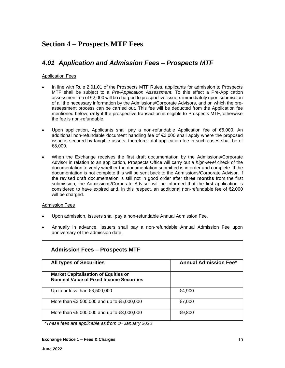## **Section 4 – Prospects MTF Fees**

### *4.01 Application and Admission Fees – Prospects MTF*

#### Application Fees

- In line with Rule 2.01.01 of the Prospects MTF Rules, applicants for admission to Prospects MTF shall be subject to a *Pre-Application Assessment*. To this effect a Pre-Application assessment fee of €2,000 will be charged to prospective issuers immediately upon submission of all the necessary information by the Admissions/Corporate Advisors, and on which the preassessment process can be carried out. This fee will be deducted from the Application fee mentioned below, **only** if the prospective transaction is eligible to Prospects MTF, otherwise the fee is non-refundable.
- Upon application, Applicants shall pay a non-refundable Application fee of €5,000. An additional non-refundable document handling fee of €3,000 shall apply where the proposed issue is secured by tangible assets, therefore total application fee in such cases shall be of €8,000.
- When the Exchange receives the first draft documentation by the Admissions/Corporate Advisor in relation to an application, Prospects Office will carry out a *high-level* check of the documentation to verify whether the documentation submitted is in order and complete. If the documentation is not complete this will be sent back to the Admissions/Corporate Advisor. If the revised draft documentation is still not in good order after **three months** from the first submission, the Admissions/Corporate Advisor will be informed that the first application is considered to have expired and, in this respect, an additional non-refundable fee of €2,000 will be charged.

#### Admission Fees

- Upon admission, Issuers shall pay a non-refundable Annual Admission Fee.
- Annually in advance, Issuers shall pay a non-refundable Annual Admission Fee upon anniversary of the admission date.

| <b>Admission Fees – Prospects MTF</b>                                                          |                              |
|------------------------------------------------------------------------------------------------|------------------------------|
| <b>All types of Securities</b>                                                                 | <b>Annual Admission Fee*</b> |
| <b>Market Capitalisation of Equities or</b><br><b>Nominal Value of Fixed Income Securities</b> |                              |
| Up to or less than $\epsilon$ 3,500,000                                                        | €4,900                       |
| More than $\text{\textsterling}3,500,000$ and up to $\text{\textsterling}5,000,000$            | €7.000                       |
| More than $\epsilon$ 5,000,000 and up to $\epsilon$ 8,000,000                                  | €9,800                       |

*\*These fees are applicable as from 1st January 2020*

#### **Exchange Notice 1 – Fees & Charges**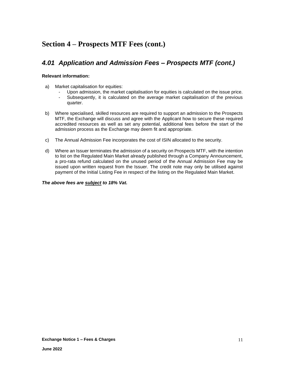## **Section 4 – Prospects MTF Fees (cont.)**

### *4.01 Application and Admission Fees – Prospects MTF (cont.)*

#### **Relevant information:**

- a) Market capitalisation for equities:
	- Upon admission, the market capitalisation for equities is calculated on the issue price.
	- Subsequently, it is calculated on the average market capitalisation of the previous quarter.
- b) Where specialised, skilled resources are required to support an admission to the Prospects MTF, the Exchange will discuss and agree with the Applicant how to secure these required accredited resources as well as set any potential, additional fees before the start of the admission process as the Exchange may deem fit and appropriate.
- c) The Annual Admission Fee incorporates the cost of ISIN allocated to the security.
- d) Where an Issuer terminates the admission of a security on Prospects MTF, with the intention to list on the Regulated Main Market already published through a Company Announcement, a pro-rata refund calculated on the unused period of the Annual Admission Fee may be issued upon written request from the Issuer. The credit note may only be utilised against payment of the Initial Listing Fee in respect of the listing on the Regulated Main Market.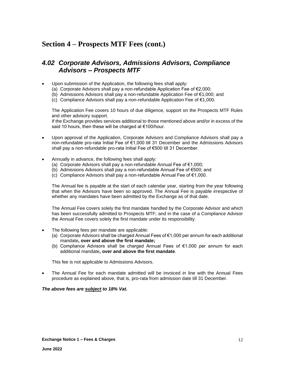## **Section 4 – Prospects MTF Fees (cont.)**

### *4.02 Corporate Advisors, Admissions Advisors, Compliance Advisors – Prospects MTF*

- Upon submission of the Application, the following fees shall apply:
	- (a) Corporate Advisors shall pay a non-refundable Application Fee of €2,000;
	- (b) Admissions Advisors shall pay a non-refundable Application Fee of €1,000; and
	- (c) Compliance Advisors shall pay a non-refundable Application Fee of €1,000.

The Application Fee covers 10 hours of due diligence, support on the Prospects MTF Rules and other advisory support.

If the Exchange provides services additional to those mentioned above and/or in excess of the said 10 hours, then these will be charged at €100/hour.

- Upon approval of the Application, Corporate Advisors and Compliance Advisors shall pay a non-refundable pro-rata Initial Fee of €1,000 till 31 December and the Admissions Advisors shall pay a non-refundable pro-rata Initial Fee of €500 till 31 December.
- Annually in advance, the following fees shall apply:
	- (a) Corporate Advisors shall pay a non-refundable Annual Fee of  $\epsilon$ 1,000;
	- (b) Admissions Advisors shall pay a non-refundable Annual Fee of €500; and
	- (c) Compliance Advisors shall pay a non-refundable Annual Fee of €1,000.

The Annual fee is payable at the start of each calendar year, starting from the year following that when the Advisors have been so approved. The Annual Fee is payable irrespective of whether any mandates have been admitted by the Exchange as of that date.

The Annual Fee covers solely the first mandate handled by the Corporate Advisor and which has been successfully admitted to Prospects MTF; and in the case of a Compliance Advisor the Annual Fee covers solely the first mandate under its responsibility.

- The following fees per mandate are applicable:
	- (a) Corporate Advisors shall be charged Annual Fees of €1,000 per annum for each additional mandate**, over and above the first mandate;**
	- (b) Compliance Advisors shall be charged Annual Fees of €1,000 per annum for each additional mandate**, over and above the first mandate**.

This fee is not applicable to Admissions Advisors.

• The Annual Fee for each mandate admitted will be invoiced in line with the Annual Fees procedure as explained above, that is, pro-rata from admission date till 31 December.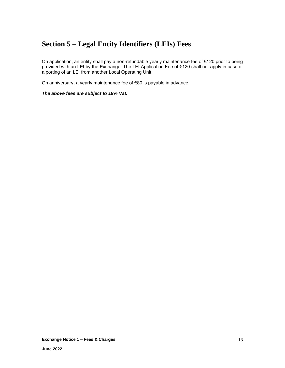## **Section 5 – Legal Entity Identifiers (LEIs) Fees**

On application, an entity shall pay a non-refundable yearly maintenance fee of €120 prior to being provided with an LEI by the Exchange. The LEI Application Fee of €120 shall not apply in case of a porting of an LEI from another Local Operating Unit.

On anniversary, a yearly maintenance fee of €80 is payable in advance.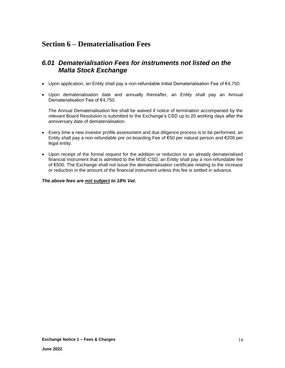## **Section 6 – Dematerialisation Fees**

### *6.01 Dematerialisation Fees for instruments not listed on the Malta Stock Exchange*

- Upon application, an Entity shall pay a non-refundable Initial Dematerialisation Fee of €4,750.
- Upon dematerialisation date and annually thereafter, an Entity shall pay an Annual Dematerialisation Fee of €4,750.

The Annual Dematerialisation fee shall be waived if notice of termination accompanied by the relevant Board Resolution is submitted to the Exchange's CSD up to 20 working days after the anniversary date of dematerialisation.

- Every time a new investor profile assessment and due diligence process is to be performed, an Entity shall pay a non-refundable pre on-boarding Fee of €50 per natural person and €200 per legal entity.
- Upon receipt of the formal request for the addition or reduction to an already dematerialised financial instrument that is admitted to the MSE-CSD, an Entity shall pay a non-refundable fee of €500. The Exchange shall not issue the dematerialisation certificate relating to the increase or reduction in the amount of the financial instrument unless this fee is settled in advance.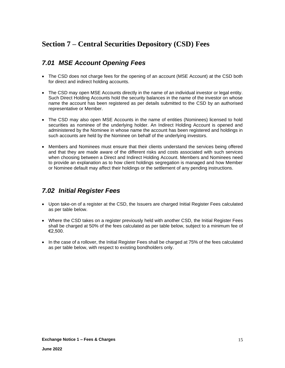### *7.01 MSE Account Opening Fees*

- The CSD does not charge fees for the opening of an account (MSE Account) at the CSD both for direct and indirect holding accounts.
- The CSD may open MSE Accounts directly in the name of an individual investor or legal entity. Such Direct Holding Accounts hold the security balances in the name of the investor on whose name the account has been registered as per details submitted to the CSD by an authorised representative or Member.
- The CSD may also open MSE Accounts in the name of entities (Nominees) licensed to hold securities as nominee of the underlying holder. An Indirect Holding Account is opened and administered by the Nominee in whose name the account has been registered and holdings in such accounts are held by the Nominee on behalf of the underlying investors.
- Members and Nominees must ensure that their clients understand the services being offered and that they are made aware of the different risks and costs associated with such services when choosing between a Direct and Indirect Holding Account. Members and Nominees need to provide an explanation as to how client holdings segregation is managed and how Member or Nominee default may affect their holdings or the settlement of any pending instructions.

### *7.02 Initial Register Fees*

- Upon take-on of a register at the CSD, the Issuers are charged Initial Register Fees calculated as per table below.
- Where the CSD takes on a register previously held with another CSD, the Initial Register Fees shall be charged at 50% of the fees calculated as per table below, subject to a minimum fee of €2,500.
- In the case of a rollover, the Initial Register Fees shall be charged at 75% of the fees calculated as per table below, with respect to existing bondholders only.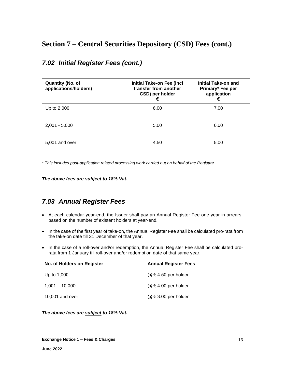| <b>Quantity (No. of</b><br>applications/holders) | <b>Initial Take-on Fee (incl</b><br>transfer from another<br>CSD) per holder<br>€ | <b>Initial Take-on and</b><br>Primary* Fee per<br>application<br>€ |
|--------------------------------------------------|-----------------------------------------------------------------------------------|--------------------------------------------------------------------|
| Up to 2,000                                      | 6.00                                                                              | 7.00                                                               |
| $2,001 - 5,000$                                  | 5.00                                                                              | 6.00                                                               |
| 5.001 and over                                   | 4.50                                                                              | 5.00                                                               |

### *7.02 Initial Register Fees (cont.)*

*\* This includes post-application related processing work carried out on behalf of the Registrar.*

*The above fees are subject to 18% Vat.*

### *7.03 Annual Register Fees*

- At each calendar year-end, the Issuer shall pay an Annual Register Fee one year in arrears, based on the number of existent holders at year-end.
- In the case of the first year of take-on, the Annual Register Fee shall be calculated pro-rata from the take-on date till 31 December of that year.
- In the case of a roll-over and/or redemption, the Annual Register Fee shall be calculated prorata from 1 January till roll-over and/or redemption date of that same year.

| No. of Holders on Register | <b>Annual Register Fees</b> |
|----------------------------|-----------------------------|
| Up to 1,000                | $@ \in 4.50$ per holder     |
| $1,001 - 10,000$           | $@ \in 4.00$ per holder     |
| 10,001 and over            | $@ \in 3.00$ per holder     |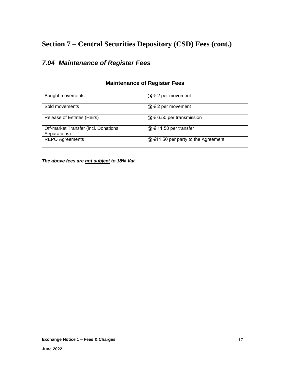| <b>Maintenance of Register Fees</b>                   |                                       |  |  |
|-------------------------------------------------------|---------------------------------------|--|--|
| Bought movements                                      | $@ \in 2$ per movement                |  |  |
| Sold movements                                        | $@ \in 2$ per movement                |  |  |
| Release of Estates (Heirs)                            | $@ \in 6.50$ per transmission         |  |  |
| Off-market Transfer (incl. Donations,<br>Separations) | $@ \in 11.50$ per transfer            |  |  |
| <b>REPO Agreements</b>                                | $@$ €11.50 per party to the Agreement |  |  |

## *7.04 Maintenance of Register Fees*

 $\mathsf{r}$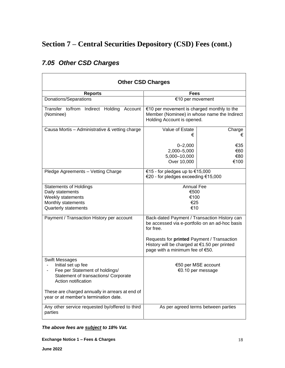| <b>Other CSD Charges</b>                                                                                                                                                                                                                 |                                                                                                                                                                                                                                              |                                     |  |
|------------------------------------------------------------------------------------------------------------------------------------------------------------------------------------------------------------------------------------------|----------------------------------------------------------------------------------------------------------------------------------------------------------------------------------------------------------------------------------------------|-------------------------------------|--|
| <b>Reports</b>                                                                                                                                                                                                                           | <b>Fees</b>                                                                                                                                                                                                                                  |                                     |  |
| Donations/Separations                                                                                                                                                                                                                    | €10 per movement                                                                                                                                                                                                                             |                                     |  |
| Transfer to/from Indirect Holding<br>Account<br>(Nominee)                                                                                                                                                                                | €10 per movement is charged monthly to the<br>Member (Nominee) in whose name the Indirect<br>Holding Account is opened.                                                                                                                      |                                     |  |
| Causa Mortis - Administrative & vetting charge                                                                                                                                                                                           | Value of Estate<br>€                                                                                                                                                                                                                         | Charge<br>€                         |  |
|                                                                                                                                                                                                                                          | $0 - 2,000$<br>2,000-5,000<br>5,000-10,000<br>Over 10,000                                                                                                                                                                                    | €35<br>€60<br>€80<br>€100           |  |
| Pledge Agreements - Vetting Charge                                                                                                                                                                                                       | €15 - for pledges up to €15,000<br>€20 - for pledges exceeding €15,000                                                                                                                                                                       |                                     |  |
| <b>Statements of Holdings</b><br>Daily statements<br>Weekly statements<br>Monthly statements<br>Quarterly statements                                                                                                                     | <b>Annual Fee</b><br>€500<br>€100<br>€25<br>€10                                                                                                                                                                                              |                                     |  |
| Payment / Transaction History per account                                                                                                                                                                                                | Back-dated Payment / Transaction History can<br>be accessed via e-portfolio on an ad-hoc basis<br>for free.<br>Requests for printed Payment / Transaction<br>History will be charged at €1.50 per printed<br>page with a minimum fee of €50. |                                     |  |
| <b>Swift Messages</b><br>Initial set up fee<br>Fee per Statement of holdings/<br>Statement of transactions/ Corporate<br>Action notification<br>These are charged annually in arrears at end of<br>year or at member's termination date. | €50 per MSE account<br>€0.10 per message                                                                                                                                                                                                     |                                     |  |
| Any other service requested by/offered to third<br>parties                                                                                                                                                                               |                                                                                                                                                                                                                                              | As per agreed terms between parties |  |

## *7.05 Other CSD Charges*

*The above fees are subject to 18% Vat.*

#### **Exchange Notice 1 – Fees & Charges**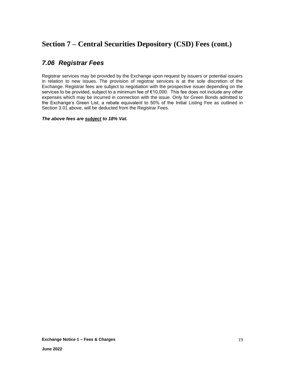### *7.06 Registrar Fees*

Registrar services may be provided by the Exchange upon request by issuers or potential issuers in relation to new issues. The provision of registrar services is at the sole discretion of the Exchange. Registrar fees are subject to negotiation with the prospective issuer depending on the services to be provided, subject to a minimum fee of €10,000. This fee does not include any other expenses which may be incurred in connection with the issue. Only for Green Bonds admitted to the Exchange's Green List, a rebate equivalent to 50% of the Initial Listing Fee as outlined in Section 3.01 above, will be deducted from the Registrar Fees.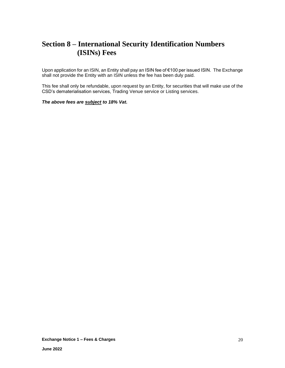## **Section 8 – International Security Identification Numbers (ISINs) Fees**

Upon application for an ISIN, an Entity shall pay an ISIN fee of €100 per issued ISIN. The Exchange shall not provide the Entity with an ISIN unless the fee has been duly paid.

This fee shall only be refundable, upon request by an Entity, for securities that will make use of the CSD's dematerialisation services, Trading Venue service or Listing services.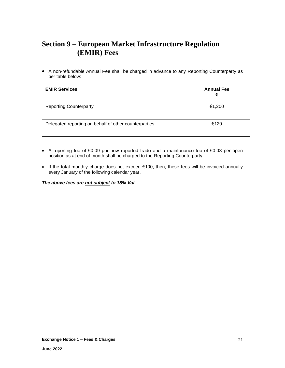## **Section 9 – European Market Infrastructure Regulation (EMIR) Fees**

• A non-refundable Annual Fee shall be charged in advance to any Reporting Counterparty as per table below:

| <b>EMIR Services</b>                                  | <b>Annual Fee</b><br>€ |
|-------------------------------------------------------|------------------------|
| <b>Reporting Counterparty</b>                         | €1,200                 |
| Delegated reporting on behalf of other counterparties | €120                   |

- A reporting fee of €0.09 per new reported trade and a maintenance fee of €0.08 per open position as at end of month shall be charged to the Reporting Counterparty.
- If the total monthly charge does not exceed €100, then, these fees will be invoiced annually every January of the following calendar year.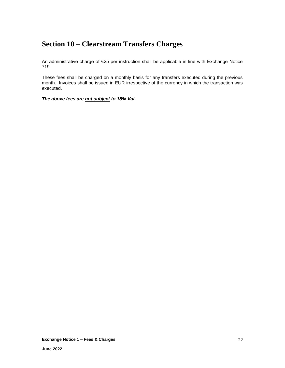## **Section 10 – Clearstream Transfers Charges**

An administrative charge of €25 per instruction shall be applicable in line with Exchange Notice 719.

These fees shall be charged on a monthly basis for any transfers executed during the previous month. Invoices shall be issued in EUR irrespective of the currency in which the transaction was executed.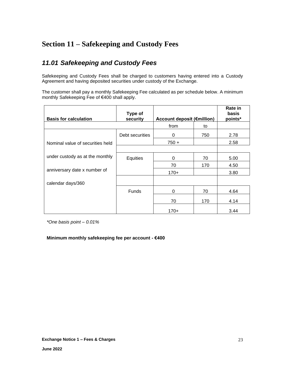## **Section 11 – Safekeeping and Custody Fees**

### *11.01 Safekeeping and Custody Fees*

Safekeeping and Custody Fees shall be charged to customers having entered into a Custody Agreement and having deposited securities under custody of the Exchange.

The customer shall pay a monthly Safekeeping Fee calculated as per schedule below. A minimum monthly Safekeeping Fee of €400 shall apply.

| <b>Basis for calculation</b>     | Type of<br>security | <b>Account deposit (€million)</b> |     | Rate in<br>basis<br>points* |
|----------------------------------|---------------------|-----------------------------------|-----|-----------------------------|
|                                  |                     | from                              | to  |                             |
|                                  | Debt securities     | 0                                 | 750 | 2.78                        |
| Nominal value of securities held |                     | $750 +$                           |     | 2.58                        |
|                                  |                     |                                   |     |                             |
| under custody as at the monthly  | Equities            | 0                                 | 70  | 5.00                        |
|                                  |                     | 70                                | 170 | 4.50                        |
| anniversary date x number of     |                     | $170+$                            |     | 3.80                        |
| calendar days/360                |                     |                                   |     |                             |
|                                  | <b>Funds</b>        | 0                                 | 70  | 4.64                        |
|                                  |                     | 70                                | 170 | 4.14                        |
|                                  |                     | $170+$                            |     | 3.44                        |

*\*One basis point – 0.01%*

### **Minimum monthly safekeeping fee per account - €400**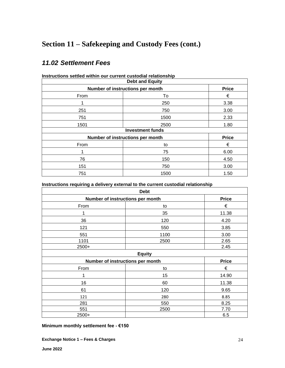## **Section 11 – Safekeeping and Custody Fees (cont.)**

### *11.02 Settlement Fees*

| <b>Debt and Equity</b>                           |      |              |  |
|--------------------------------------------------|------|--------------|--|
| Number of instructions per month                 |      | <b>Price</b> |  |
| From                                             | To   |              |  |
|                                                  | 250  | 3.38         |  |
| 251                                              | 750  | 3.00         |  |
| 751                                              | 1500 | 2.33         |  |
| 1501                                             | 2500 | 1.80         |  |
| <b>Investment funds</b>                          |      |              |  |
| <b>Price</b><br>Number of instructions per month |      |              |  |
| From                                             | to   | €            |  |
|                                                  | 75   | 6.00         |  |
| 76                                               | 150  | 4.50         |  |
| 151                                              | 750  | 3.00         |  |
| 751                                              | 1500 | 1.50         |  |

**Instructions settled within our current custodial relationship**

**Instructions requiring a delivery external to the current custodial relationship**

| <b>Debt</b>                      |      |              |  |
|----------------------------------|------|--------------|--|
| Number of instructions per month |      | <b>Price</b> |  |
| From                             | to   | €            |  |
| 1                                | 35   | 11.38        |  |
| 36                               | 120  | 4.20         |  |
| 121                              | 550  | 3.85         |  |
| 551                              | 1100 | 3.00         |  |
| 1101                             | 2500 | 2.65         |  |
| 2500+                            |      | 2.45         |  |
| <b>Equity</b>                    |      |              |  |
| Number of instructions per month |      | <b>Price</b> |  |
| From                             | to   | €            |  |
| 1                                | 15   | 14.90        |  |
| 16                               | 60   | 11.38        |  |
| 61                               | 120  | 9.65         |  |
| 121                              | 280  | 8.85         |  |
| 281                              | 550  | 8.25         |  |
| 551                              | 2500 | 7.70         |  |
| 2500+                            |      | 6.5          |  |

**Minimum monthly settlement fee - €150**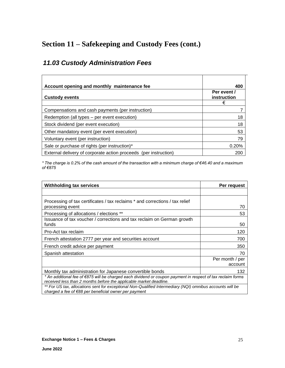## **Section 11 – Safekeeping and Custody Fees (cont.)**

## *11.03 Custody Administration Fees*

| Account opening and monthly maintenance fee                      | 400                             |
|------------------------------------------------------------------|---------------------------------|
| <b>Custody events</b>                                            | Per event /<br>instruction<br>€ |
| Compensations and cash payments (per instruction)                |                                 |
| Redemption (all types – per event execution)                     | 18                              |
| Stock dividend (per event execution)                             | 18                              |
| Other mandatory event (per event execution)                      | 53                              |
| Voluntary event (per instruction)                                | 79                              |
| Sale or purchase of rights (per instruction)*                    | 0.20%                           |
| External delivery of corporate action proceeds (per instruction) | 200                             |

*\* The charge is 0.2% of the cash amount of the transaction with a minimum charge of €46.40 and a maximum of €875*

| <b>Withholding tax services</b>                                                                                                                                                   | Per request                |  |
|-----------------------------------------------------------------------------------------------------------------------------------------------------------------------------------|----------------------------|--|
|                                                                                                                                                                                   |                            |  |
| Processing of tax certificates / tax reclaims * and corrections / tax relief<br>processing event                                                                                  | 70                         |  |
| Processing of allocations / elections **                                                                                                                                          | 53                         |  |
| Issuance of tax voucher / corrections and tax reclaim on German growth<br>funds                                                                                                   | 50                         |  |
| Pro-Act tax reclaim                                                                                                                                                               | 120                        |  |
| French attestation 2777 per year and securities account                                                                                                                           | 700                        |  |
| French credit advice per payment                                                                                                                                                  | 350                        |  |
| Spanish attestation                                                                                                                                                               | 70                         |  |
|                                                                                                                                                                                   | Per month / per<br>account |  |
| Monthly tax administration for Japanese convertible bonds                                                                                                                         | 132                        |  |
| * An additional fee of €875 will be charged each dividend or coupon payment in respect of tax reclaim forms<br>received less than 2 months before the applicable market deadline. |                            |  |
| ** For US tax, allocations sent for exceptional Non-Qualified Intermediary (NQI) omnibus accounts will be<br>charged a fee of $\epsilon$ 88 per beneficial owner per payment      |                            |  |